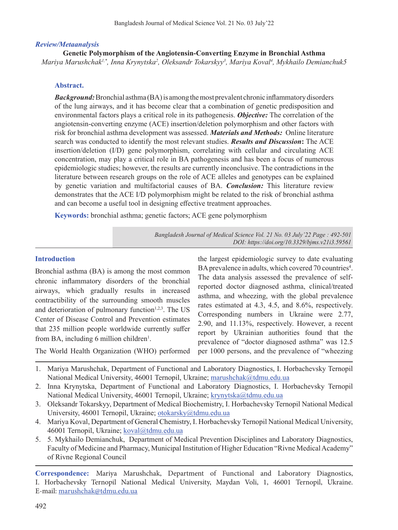## *Review/Metaanalysis*

## **Genetic Polymorphism of the Angiotensin-Converting Enzyme in Bronchial Asthma**

*Mariya Marushchak1,\*, Inna Krynytska2 , Oleksandr Tokarskyy3 , Mariya Koval4 , Mykhailo Demianchuk5*

## **Abstract.**

*Background:* Bronchial asthma (BA) is among the most prevalent chronic inflammatory disorders of the lung airways, and it has become clear that a combination of genetic predisposition and environmental factors plays a critical role in its pathogenesis. *Objective:* The correlation of the angiotensin-converting enzyme (ACE) insertion/deletion polymorphism and other factors with risk for bronchial asthma development was assessed. *Materials and Methods:* Online literature search was conducted to identify the most relevant studies. *Results and Discussion***:** The ACE insertion/deletion (I/D) gene polymorphism, correlating with cellular and circulating ACE concentration, may play a critical role in BA pathogenesis and has been a focus of numerous epidemiologic studies; however, the results are currently inconclusive. The contradictions in the literature between research groups on the role of ACE alleles and genotypes can be explained by genetic variation and multifactorial causes of BA. *Conclusion:* This literature review demonstrates that the ACE I/D polymorphism might be related to the risk of bronchial asthma and can become a useful tool in designing effective treatment approaches.

**Keywords:** bronchial asthma; genetic factors; ACE gene polymorphism

*Bangladesh Journal of Medical Science Vol. 21 No. 03 July'22 Page : 492-501 DOI: https://doi.org/10.3329/bjms.v21i3.59561*

## **Introduction**

Bronchial asthma (BA) is among the most common chronic inflammatory disorders of the bronchial airways, which gradually results in increased contractibility of the surrounding smooth muscles and deterioration of pulmonary function $1,2,3$ . The US Center of Disease Control and Prevention estimates that 235 million people worldwide currently suffer from BA, including  $6$  million children<sup>1</sup>.

the largest epidemiologic survey to date evaluating BA prevalence in adults, which covered 70 countries<sup>4</sup>. The data analysis assessed the prevalence of selfreported doctor diagnosed asthma, clinical/treated asthma, and wheezing, with the global prevalence rates estimated at 4.3, 4.5, and 8.6%, respectively. Corresponding numbers in Ukraine were 2.77, 2.90, and 11.13%, respectively. However, a recent report by Ukrainian authorities found that the prevalence of "doctor diagnosed asthma" was 12.5 per 1000 persons, and the prevalence of "wheezing

The World Health Organization (WHO) performed

- 1. Mariya Marushchak, Department of Functional and Laboratory Diagnostics, I. Horbachevsky Ternopil National Medical University, 46001 Ternopil, Ukraine; marushchak@tdmu.edu.ua
- 2. Inna Krynytska, Department of Functional and Laboratory Diagnostics, I. Horbachevsky Ternopil National Medical University, 46001 Ternopil, Ukraine; krynytska@tdmu.edu.ua
- 3. Oleksandr Tokarskyy, Department of Medical Biochemistry, I. Horbachevsky Ternopil National Medical University, 46001 Ternopil, Ukraine; otokarsky@tdmu.edu.ua
- 4. Mariya Koval, Department of General Chemistry, I. Horbachevsky Ternopil National Medical University, 46001 Ternopil, Ukraine; koval@tdmu.edu.ua
- 5. 5. Mykhailo Demianchuk, Department of Medical Prevention Disciplines and Laboratory Diagnostics, Faculty of Medicine and Pharmacy, Municipal Institution of Higher Education "Rivne Medical Academy" of Rivne Regional Council

**Correspondence:** Mariya Marushchak, Department of Functional and Laboratory Diagnostics, I. Horbachevsky Ternopil National Medical University, Maydan Voli, 1, 46001 Ternopil, Ukraine. E-mail: marushchak@tdmu.edu.ua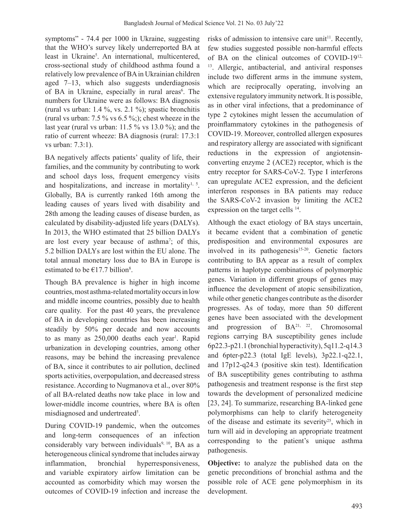symptoms" - 74.4 per 1000 in Ukraine, suggesting that the WHO's survey likely underreported BA at least in Ukraine<sup>5</sup>. An international, multicentered, cross-sectional study of childhood asthma found a relatively low prevalence of BAin Ukrainian children aged 7–13, which also suggests underdiagnosis of BA in Ukraine, especially in rural areas<sup>6</sup>. The numbers for Ukraine were as follows: BA diagnosis (rural vs urban: 1.4 %, vs. 2.1 %); spastic bronchitis (rural vs urban:  $7.5\%$  vs  $6.5\%$ ;); chest wheeze in the last year (rural vs urban: 11.5 % vs 13.0 %); and the ratio of current wheeze: BA diagnosis (rural: 17.3:1 vs urban: 7.3:1).

BA negatively affects patients' quality of life, their families, and the community by contributing to work and school days loss, frequent emergency visits and hospitalizations, and increase in mortality $1, 5$ . Globally, BA is currently ranked 16th among the leading causes of years lived with disability and 28th among the leading causes of disease burden, as calculated by disability-adjusted life years (DALYs). In 2013, the WHO estimated that 25 billion DALYs are lost every year because of asthma<sup>7</sup>; of this, 5.2 billion DALYs are lost within the EU alone. The total annual monetary loss due to BA in Europe is estimated to be  $E17.7$  billion<sup>8</sup>.

Though BA prevalence is higher in high income countries, most asthma-related mortality occurs in low and middle income countries, possibly due to health care quality. For the past 40 years, the prevalence of BA in developing countries has been increasing steadily by 50% per decade and now accounts to as many as 250,000 deaths each year<sup>1</sup>. Rapid urbanization in developing countries, among other reasons, may be behind the increasing prevalence of BA, since it contributes to air pollution, declined sports activities, overpopulation, and decreased stress resistance. According to Nugmanova et al., over 80% of all BA-related deaths now take place in low and lower-middle income countries, where BA is often misdiagnosed and undertreated<sup>5</sup>.

During COVID-19 pandemic, when the outcomes and long-term consequences of an infection considerably vary between individuals<sup>9, 10</sup>, BA as a heterogeneous clinical syndrome that includes airway inflammation, bronchial hyperresponsiveness, and variable expiratory airfow limitation can be accounted as comorbidity which may worsen the outcomes of COVID-19 infection and increase the risks of admission to intensive care unit<sup>11</sup>. Recently, few studies suggested possible non-harmful effects of BA on the clinical outcomes of COVID-1912, <sup>13</sup>. Allergic, antibacterial, and antiviral responses include two different arms in the immune system, which are reciprocally operating, involving an extensive regulatory immunity network. It is possible, as in other viral infections, that a predominance of type 2 cytokines might lessen the accumulation of proinflammatory cytokines in the pathogenesis of COVID-19. Moreover, controlled allergen exposures and respiratory allergy are associated with significant reductions in the expression of angiotensinconverting enzyme 2 (ACE2) receptor, which is the entry receptor for SARS-CoV-2. Type I interferons can upregulate ACE2 expression, and the deficient interferon responses in BA patients may reduce the SARS-CoV-2 invasion by limiting the ACE2 expression on the target cells <sup>14</sup>.

Although the exact etiology of BA stays uncertain, it became evident that a combination of genetic predisposition and environmental exposures are involved in its pathogenesis<sup>15-20</sup>. Genetic factors contributing to BA appear as a result of complex patterns in haplotype combinations of polymorphic genes. Variation in different groups of genes may influence the development of atopic sensibilization, while other genetic changes contribute as the disorder progresses. As of today, more than 50 different genes have been associated with the development and progression of BA21, 22. Chromosomal regions carrying BA susceptibility genes include 6p22.3-p21.1 (bronchial hyperactivity), 5q11.2-q14.3 and 6pter-p22.3 (total IgE levels), 3p22.1-q22.1, and 17p12-q24.3 (positive skin test). Identification of BA susceptibility genes contributing to asthma pathogenesis and treatment response is the first step towards the development of personalized medicine [23, 24]. To summarize, researching BA-linked gene polymorphisms can help to clarify heterogeneity of the disease and estimate its severity<sup>25</sup>, which in turn will aid in developing an appropriate treatment corresponding to the patient's unique asthma pathogenesis.

**Objective:** to analyze the published data on the genetic preconditions of bronchial asthma and the possible role of ACE gene polymorphism in its development.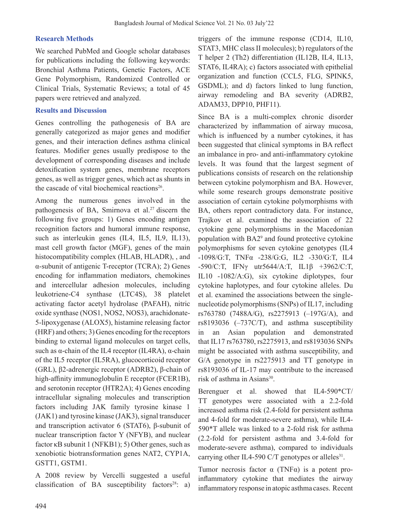### **Research Methods**

We searched PubMed and Google scholar databases for publications including the following keywords: Bronchial Asthma Patients, Genetic Factors, ACE Gene Polymorphism, Randomized Controlled or Clinical Trials, Systematic Reviews; a total of 45 papers were retrieved and analyzed.

#### **Results and Discussion**

Genes controlling the pathogenesis of BA are generally categorized as major genes and modifier genes, and their interaction defines asthma clinical features. Modifier genes usually predispose to the development of corresponding diseases and include detoxification system genes, membrane receptors genes, as well as trigger genes, which act as shunts in the cascade of vital biochemical reactions<sup>26</sup>.

Among the numerous genes involved in the pathogenesis of BA, Smirnova et al.<sup>27</sup> discern the following five groups: 1) Genes encoding antigen recognition factors and humoral immune response, such as interleukin genes (IL4, IL5, IL9, IL13), mast cell growth factor (MGF), genes of the main histocompatibility complex (HLAB, HLADR), , and α-subunit of antigenic T-receptor (TCRA); 2) Genes encoding for inflammation mediators, chemokines and intercellular adhesion molecules, including leukotriene-C4 synthase (LTC4S), 38 platelet activating factor acetyl hydrolase (PAFAH), nitric oxide synthase (NOS1, NOS2, NOS3), arachidonate-5-lipoxygenase (ALOX5), histamine releasing factor (HRF) and others; 3) Genes encoding forthe receptors binding to external ligand molecules on target cells, such as  $\alpha$ -chain of the IL4 receptor (IL4RA),  $\alpha$ -chain of the IL5 receptor (IL5RA), glucocorticoid receptor (GRL), β2-adrenergic receptor (ADRB2), β-chain of high-affinity immunoglobulin E receptor (FCER1B), and serotonin receptor (HTR2A); 4) Genes encoding intracellular signaling molecules and transcription factors including JAK family tyrosine kinase 1  $(JAK1)$  and tyrosine kinase  $(JAK3)$ , signal transducer and transcription activator 6 (STAT6), β-subunit of nuclear transcription factor Y (NFYB), and nuclear factor  $\kappa$ B subunit 1 (NFKB1); 5) Other genes, such as xenobiotic biotransformation genes NAT2, CYP1A, GSTT1, GSTM1.

A 2008 review by Vercelli suggested a useful classification of BA susceptibility factors<sup>28</sup>: a)

triggers of the immune response (CD14, IL10, STAT3, MHC class II molecules); b) regulators of the T helper 2 (Th2) differentiation (IL12B, IL4, IL13, STAT6, IL4RA); c) factors associated with epithelial organization and function (CCL5, FLG, SPINK5, GSDML); and d) factors linked to lung function, airway remodeling and BA severity (ADRB2, ADAM33, DPP10, PHF11).

Since BA is a multi-complex chronic disorder characterized by inflammation of airway mucosa, which is influenced by a number cytokines, it has been suggested that clinical symptoms in BA reflect an imbalance in pro- and anti-inflammatory cytokine levels. It was found that the largest segment of publications consists of research on the relationship between cytokine polymorphism and BA. However, while some research groups demonstrate positive association of certain cytokine polymorphisms with BA, others report contradictory data. For instance, Trajkov et al. examined the association of 22 cytokine gene polymorphisms in the Macedonian population with BA29 and found protective cytokine polymorphisms for seven cytokine genotypes (IL4 -1098/G:T, TNFα -238/G:G, IL2 -330/G:T, IL4 -590/C:T, IFNγ utr5644/A:T, IL1β +3962/C:T, IL10 -1082/A:G), six cytokine diplotypes, four cytokine haplotypes, and four cytokine alleles. Du et al. examined the associations between the singlenucleotide polymorphisms(SNPs) of IL17, including rs763780 (7488A/G), rs2275913 (–197G/A), and rs8193036 (–737C/T), and asthma susceptibility in an Asian population and demonstrated that IL17 rs763780, rs2275913, and rs8193036 SNPs might be associated with asthma susceptibility, and G/A genotype in rs2275913 and TT genotype in rs8193036 of IL-17 may contribute to the increased risk of asthma in Asians<sup>30</sup>.

Berenguer et al. showed that IL4-590\*CT/ TT genotypes were associated with a 2.2-fold increased asthma risk (2.4-fold for persistent asthma and 4-fold for moderate-severe asthma), while IL4- 590\*T allele was linked to a 2-fold risk for asthma (2.2-fold for persistent asthma and 3.4-fold for moderate-severe asthma), compared to individuals carrying other IL4-590 C/T genotypes or alleles<sup>31</sup>.

Tumor necrosis factor α (TNFα) is a potent proinflammatory cytokine that mediates the airway inflammatory response in atopic asthma cases. Recent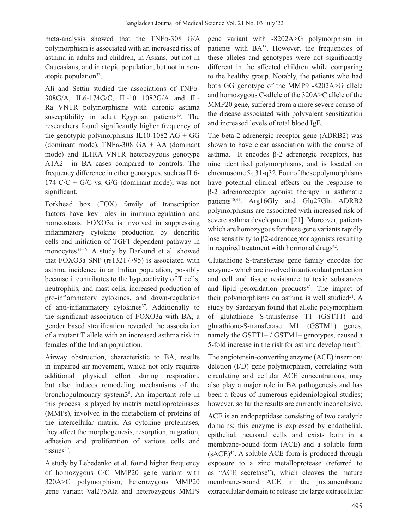meta-analysis showed that the TNFα-308 G/A polymorphism is associated with an increased risk of asthma in adults and children, in Asians, but not in Caucasians; and in atopic population, but not in nonatopic population $32$ .

Ali and Settin studied the associations of TNFα-308G/A, IL6-174G/C, IL-10 1082G/A and IL-Ra VNTR polymorphisms with chronic asthma susceptibility in adult Egyptian patients $33$ . The researchers found significantly higher frequency of the genotypic polymorphisms IL10-1082 AG + GG (dominant mode), TNF $\alpha$ -308 GA + AA (dominant mode) and IL1RA VNTR heterozygous genotype A1A2 in BA cases compared to controls. The frequency difference in other genotypes, such as IL6- 174 C/C + G/C vs. G/G (dominant mode), was not significant.

Forkhead box (FOX) family of transcription factors have key roles in immunoregulation and homeostasis. FOXO3a is involved in suppressing inflammatory cytokine production by dendritic cells and initiation of TGF1 dependent pathway in monocytes<sup>34.36</sup>. A study by Barkund et al. showed that FOXO3a SNP (rs13217795) is associated with asthma incidence in an Indian population, possibly because it contributes to the hyperactivity of T cells, neutrophils, and mast cells, increased production of pro-inflammatory cytokines, and down-regulation of anti-inflammatory cytokines<sup>37</sup>. Additionally to the significant association of FOXO3a with BA, a gender based stratification revealed the association of a mutant T allele with an increased asthma risk in females of the Indian population.

Airway obstruction, characteristic to BA, results in impaired air movement, which not only requires additional physical effort during respiration, but also induces remodeling mechanisms of the bronchopulmonary system3<sup>8</sup> . An important role in this process is played by matrix metalloproteinases (MMPs), involved in the metabolism of proteins of the intercellular matrix. As cytokine proteinases, they affect the morphogenesis, resorption, migration, adhesion and proliferation of various cells and tissues<sup>39</sup>.

A study by Lebedenko et al. found higher frequency of homozygous C/C MMP20 gene variant with 320A>C polymorphism, heterozygous MMP20 gene variant Val275Ala and heterozygous MMP9

gene variant with -8202A>G polymorphism in patients with BA<sup>38</sup>. However, the frequencies of these alleles and genotypes were not significantly different in the affected children while comparing to the healthy group. Notably, the patients who had both GG genotype of the MMP9 -8202A>G allele and homozygous C-allele of the 320A>C allele of the MMP20 gene, suffered from a more severe course of the disease associated with polyvalent sensitization and increased levels of total blood IgE.

The beta-2 adrenergic receptor gene (ADRB2) was shown to have clear association with the course of asthma. It encodes β-2 adrenergic receptors, has nine identified polymorphisms, and is located on chromosome 5q31-q32.Four ofthosepolymorphisms have potential clinical effects on the response to β-2 adrenoreceptor agonist therapy in asthmatic patients<sup>40,41</sup>. Arg16Gly and Glu27Gln ADRB2 polymorphisms are associated with increased risk of severe asthma development [21]. Moreover, patients which are homozygous for these gene variants rapidly lose sensitivity to β2-adrenoceptor agonists resulting in required treatment with hormonal drugs $42$ .

Glutathione S-transferase gene family encodes for enzymes which are involved in antioxidant protection and cell and tissue resistance to toxic substances and lipid peroxidation products $43$ . The impact of their polymorphisms on asthma is well studied<sup>21</sup>. A study by Sardaryan found that allelic polymorphism of glutathione S-transferase T1 (GSTT1) and glutathione-S-transferase M1 (GSTM1) genes, namely the GSTT1– / GSTM1– genotypes, caused a 5-fold increase in the risk for asthma development<sup>26</sup>.

The angiotensin-converting enzyme (ACE) insertion/ deletion (I/D) gene polymorphism, correlating with circulating and cellular ACE concentrations, may also play a major role in BA pathogenesis and has been a focus of numerous epidemiological studies; however, so far the results are currently inconclusive.

ACE is an endopeptidase consisting of two catalytic domains; this enzyme is expressed by endothelial, epithelial, neuronal cells and exists both in a membrane-bound form (ACE) and a soluble form  $(sACE)^{44}$ . A soluble ACE form is produced through exposure to a zinc metalloprotease (referred to as "ACE secretase"), which cleaves the mature membrane-bound ACE in the juxtamembrane extracellular domain to release the large extracellular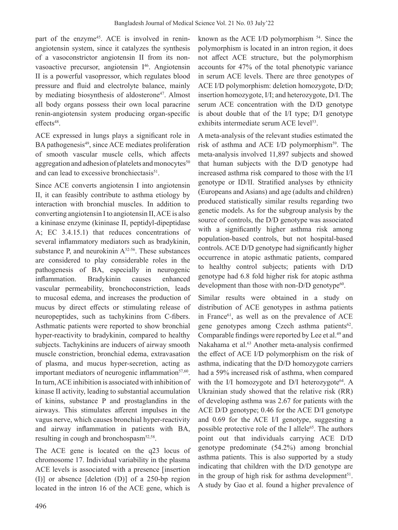part of the enzyme<sup>45</sup>. ACE is involved in reninangiotensin system, since it catalyzes the synthesis of a vasoconstrictor angiotensin II from its nonvasoactive precursor, angiotensin I<sup>46</sup>. Angiotensin II is a powerful vasopressor, which regulates blood pressure and fluid and electrolyte balance, mainly by mediating biosynthesis of aldosterone<sup>47</sup>. Almost all body organs possess their own local paracrine renin-angiotensin system producing organ-specific effects<sup>48</sup>.

ACE expressed in lungs plays a significant role in BA pathogenesis<sup>49</sup>, since ACE mediates proliferation of smooth vascular muscle cells, which affects aggregation and adhesion of platelets and monocytes $50$ and can lead to excessive bronchiectasis<sup>51</sup>.

Since ACE converts angiotensin I into angiotensin II, it can feasibly contribute to asthma etiology by interaction with bronchial muscles. In addition to converting angiotensin Ito angiotensin II,ACE is also a kininase enzyme (kininase II, peptidyl-dipeptidase A; EC 3.4.15.1) that reduces concentrations of several inflammatory mediators such as bradykinin, substance P, and neurokinin  $A^{52-56}$ . These substances are considered to play considerable roles in the pathogenesis of BA, especially in neurogenic inflammation. Bradykinin causes enhanced vascular permeability, bronchoconstriction, leads to mucosal edema, and increases the production of mucus by direct effects or stimulating release of neuropeptides, such as tachykinins from C-fibers. Asthmatic patients were reported to show bronchial hyper-reactivity to bradykinin, compared to healthy subjects. Tachykinins are inducers of airway smooth muscle constriction, bronchial edema, extravasation of plasma, and mucus hyper-secretion, acting as important mediators of neurogenic inflammation $57,60$ . In turn,ACE inhibition is associated with inhibition of kinase II activity, leading to substantial accumulation of kinins, substance P and prostaglandins in the airways. This stimulates afferent impulses in the vagus nerve, which causes bronchial hyper-reactivity and airway inflammation in patients with BA, resulting in cough and bronchospasm<sup>52,58</sup>.

The ACE gene is located on the q23 locus of chromosome 17. Individual variability in the plasma ACE levels is associated with a presence [insertion (I)] or absence [deletion (D)] of a 250-bp region located in the intron 16 of the ACE gene, which is

known as the ACE I/D polymorphism 54. Since the polymorphism is located in an intron region, it does not affect ACE structure, but the polymorphism accounts for 47% of the total phenotypic variance in serum ACE levels. There are three genotypes of ACE I/D polymorphism: deletion homozygote, D/D; insertion homozygote, I/I; and heterozygote, D/I. The serum ACE concentration with the D/D genotype is about double that of the I/I type; D/I genotype exhibits intermediate serum ACE level<sup>53</sup>.

A meta-analysis of the relevant studies estimated the risk of asthma and ACE I/D polymorphism<sup>59</sup>. The meta-analysis involved 11,897 subjects and showed that human subjects with the D/D genotype had increased asthma risk compared to those with the I/I genotype or ID/II. Stratified analyses by ethnicity (Europeans and Asians) and age (adults and children) produced statistically similar results regarding two genetic models. As for the subgroup analysis by the source of controls, the D/D genotype was associated with a significantly higher asthma risk among population-based controls, but not hospital-based controls. ACE D/D genotype had significantly higher occurrence in atopic asthmatic patients, compared to healthy control subjects; patients with D/D genotype had 6.8 fold higher risk for atopic asthma development than those with non- $D/D$  genotype<sup>60</sup>.

Similar results were obtained in a study on distribution of ACE genotypes in asthma patients in France<sup>61</sup>, as well as on the prevalence of ACE gene genotypes among Czech asthma patients<sup>62</sup>. Comparable findings were reported by Lee et al.<sup>49</sup> and Nakahama et al.<sup>63</sup> Another meta-analysis confirmed the effect of ACE I/D polymorphism on the risk of asthma, indicating that the D/D homozygote carriers had a 59% increased risk of asthma, when compared with the I/I homozygote and D/I heterozygote<sup>64</sup>. A Ukrainian study showed that the relative risk (RR) of developing asthma was 2.67 for patients with the ACE D/D genotype; 0.46 for the ACE D/I genotype and 0.69 for the ACE I/I genotype, suggesting a possible protective role of the I allele<sup>65</sup>. The authors point out that individuals carrying ACE D/D genotype predominate (54.2%) among bronchial asthma patients. This is also supported by a study indicating that children with the D/D genotype are in the group of high risk for asthma development<sup>51</sup>. A study by Gao et al. found a higher prevalence of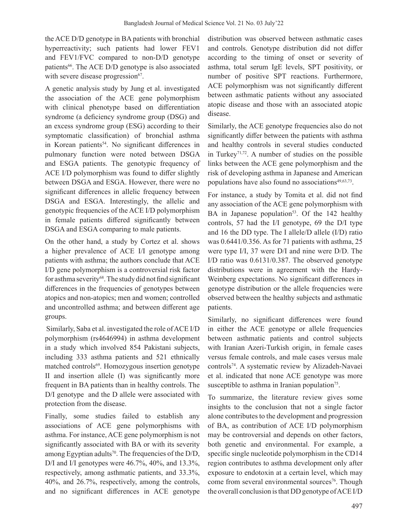the ACE D/D genotype in BA patients with bronchial hyperreactivity; such patients had lower FEV1 and FEV1/FVC compared to non-D/D genotype patients<sup>66</sup>. The ACE D/D genotype is also associated with severe disease progression<sup>67</sup>.

A genetic analysis study by Jung et al. investigated the association of the ACE gene polymorphism with clinical phenotype based on differentiation syndrome (a deficiency syndrome group (DSG) and an excess syndrome group (ESG) according to their symptomatic classification) of bronchial asthma in Korean patients<sup>54</sup>. No significant differences in pulmonary function were noted between DSGA and ESGA patients. The genotypic frequency of ACE I/D polymorphism was found to differ slightly between DSGA and ESGA. However, there were no significant differences in allelic frequency between DSGA and ESGA. Interestingly, the allelic and genotypic frequencies of the ACE I/D polymorphism in female patients differed significantly between DSGA and ESGA comparing to male patients.

On the other hand, a study by Cortez et al. shows a higher prevalence of ACE I/I genotype among patients with asthma; the authors conclude that ACE I/D gene polymorphism is a controversial risk factor for asthma severity<sup>68</sup>. The study did not find significant differences in the frequencies of genotypes between atopics and non-atopics; men and women; controlled and uncontrolled asthma; and between different age groups.

Similarly, Saba et al. investigated the role of ACE I/D polymorphism (rs4646994) in asthma development in a study which involved 854 Pakistani subjects, including 333 asthma patients and 521 ethnically matched controls<sup>69</sup>. Homozygous insertion genotype II and insertion allele (I) was significantly more frequent in BA patients than in healthy controls. The D/I genotype and the D allele were associated with protection from the disease.

Finally, some studies failed to establish any associations of ACE gene polymorphisms with asthma. For instance, ACE gene polymorphism is not significantly associated with BA or with its severity among Egyptian adults<sup>70</sup>. The frequencies of the  $D/D$ , D/I and I/I genotypes were 46.7%, 40%, and 13.3%, respectively, among asthmatic patients, and 33.3%, 40%, and 26.7%, respectively, among the controls, and no significant differences in ACE genotype distribution was observed between asthmatic cases and controls. Genotype distribution did not differ according to the timing of onset or severity of asthma, total serum IgE levels, SPT positivity, or number of positive SPT reactions. Furthermore, ACE polymorphism was not significantly different between asthmatic patients without any associated atopic disease and those with an associated atopic disease.

Similarly, the ACE genotype frequencies also do not significantly differ between the patients with asthma and healthy controls in several studies conducted in Turkey71,72. A number of studies on the possible links between the ACE gene polymorphism and the risk of developing asthma in Japanese and American populations have also found no associations $49,63,73$ .

For instance, a study by Tomita et al. did not find any association of the ACE gene polymorphism with BA in Japanese population<sup>53</sup>. Of the  $142$  healthy controls, 57 had the I/I genotype, 69 the D/I type and 16 the DD type. The I allele/D allele (I/D) ratio was 0.6441/0.356. As for 71 patients with asthma, 25 were type I/I, 37 were D/I and nine were D/D. The I/D ratio was 0.6131/0.387. The observed genotype distributions were in agreement with the Hardy-Weinberg expectations. No significant differences in genotype distribution or the allele frequencies were observed between the healthy subjects and asthmatic patients.

Similarly, no significant differences were found in either the ACE genotype or allele frequencies between asthmatic patients and control subjects with Iranian Azeri-Turkish origin, in female cases versus female controls, and male cases versus male controls<sup>74</sup>. A systematic review by Alizadeh-Navaei et al. indicated that none ACE genotype was more susceptible to asthma in Iranian population<sup>75</sup>.

To summarize, the literature review gives some insights to the conclusion that not a single factor alone contributes to the development and progression of BA, as contribution of ACE I/D polymorphism may be controversial and depends on other factors, both genetic and environmental. For example, a specific single nucleotide polymorphism in the CD14 region contributes to asthma development only after exposure to endotoxin at a certain level, which may come from several environmental sources<sup>76</sup>. Though the overall conclusion isthat DD genotype ofACEI/D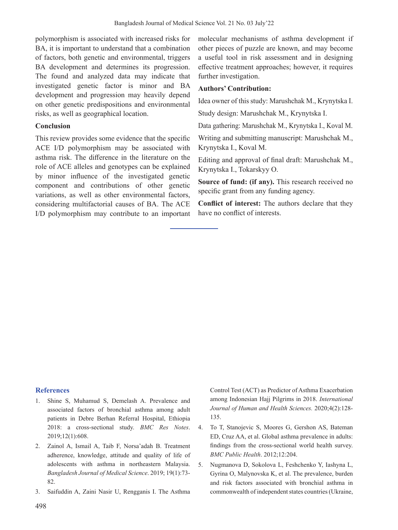polymorphism is associated with increased risks for BA, it is important to understand that a combination of factors, both genetic and environmental, triggers BA development and determines its progression. The found and analyzed data may indicate that investigated genetic factor is minor and BA development and progression may heavily depend on other genetic predispositions and environmental risks, as well as geographical location.

## **Conclusion**

This review provides some evidence that the specific ACE I/D polymorphism may be associated with asthma risk. The difference in the literature on the role of ACE alleles and genotypes can be explained by minor influence of the investigated genetic component and contributions of other genetic variations, as well as other environmental factors, considering multifactorial causes of BA. The ACE I/D polymorphism may contribute to an important

molecular mechanisms of asthma development if other pieces of puzzle are known, and may become a useful tool in risk assessment and in designing effective treatment approaches; however, it requires further investigation.

## **Authors' Contribution:**

Idea owner of this study: Marushchak M., Krynytska I.

Study design: Marushchak M., Krynytska I.

Data gathering: Marushchak M., Krynytska I., Koval M.

Writing and submitting manuscript: Marushchak M., Krynytska I., Koval M.

Editing and approval of final draft: Marushchak M., Krynytska I., Tokarskyy O.

**Source of fund: (if any).** This research received no specific grant from any funding agency.

**Conflict of interest:** The authors declare that they have no conflict of interests.

# **References**

- 1. Shine S, Muhamud S, Demelash A. Prevalence and associated factors of bronchial asthma among adult patients in Debre Berhan Referral Hospital, Ethiopia 2018: a cross-sectional study. *BMC Res Notes*. 2019;12(1):608.
- 2. Zainol A, Ismail A, Taib F, Norsa'adah B. Treatment adherence, knowledge, attitude and quality of life of adolescents with asthma in northeastern Malaysia. *Bangladesh Journal of Medical Science*. 2019; 19(1):73- 82.
- 3. Saifuddin A, Zaini Nasir U, Rengganis I. The Asthma

Control Test (ACT) as Predictor of Asthma Exacerbation among Indonesian Hajj Pilgrims in 2018. *International Journal of Human and Health Sciences.* 2020;4(2):128- 135.

- 4. To T, Stanojevic S, Moores G, Gershon AS, Bateman ED, Cruz AA, et al. Global asthma prevalence in adults: findings from the cross-sectional world health survey. *BMC Public Health*. 2012;12:204.
- 5. Nugmanova D, Sokolova L, Feshchenko Y, Iashyna L, Gyrina O, Malynovska K, et al. The prevalence, burden and risk factors associated with bronchial asthma in commonwealth of independent states countries (Ukraine,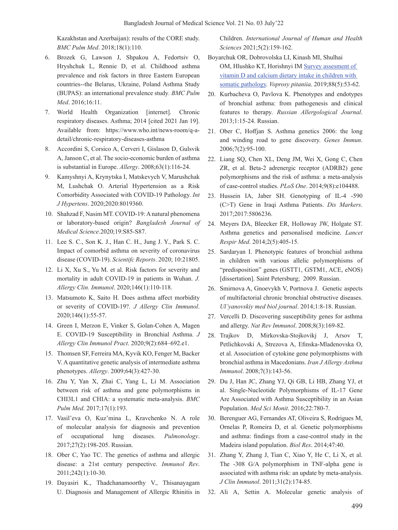Kazakhstan and Azerbaijan): results of the CORE study. *BMC Pulm Med*. 2018;18(1):110.

- 6. Brozek G, Lawson J, Shpakou A, Fedortsiv O, Hryshchuk L, Rennie D, et al. Childhood asthma prevalence and risk factors in three Eastern European countries--the Belarus, Ukraine, Poland Asthma Study (BUPAS): an international prevalence study*. BMC Pulm Med*. 2016;16:11.
- 7. World Health Organization [internet]. Chronic respiratory diseases. Asthma; 2014 [cited 2021 Jan 19]. Available from: https://www.who.int/news-room/q-adetail/chronic-respiratory-diseases-asthma
- 8. Accordini S, Corsico A, Cerveri I, Gislason D, Gulsvik A, Janson C, et al. The socio-economic burden of asthma is substantial in Europe. *Allergy*. 2008;63(1):116-24.
- 9. Kamyshnyi A, Krynytska I, Matskevych V, Marushchak M, Lushchak O. Arterial Hypertension as a Risk Comorbidity Associated with COVID-19 Pathology. *Int J Hypertens*. 2020;2020:8019360.
- 10. Shahzad F, Nasim MT. COVID-19:Anatural phenomena or laboratory-based origin? *Bangladesh Journal of Medical Science*.2020;19:S85-S87.
- 11. Lee S. C., Son K. J., Han C. H., Jung J. Y., Park S. C. Impact of comorbid asthma on severity of coronavirus disease (COVID-19). *Scientifc Reports*. 2020; 10:21805.
- 12. Li X, Xu S., Yu M. et al. Risk factors for severity and mortality in adult COVID-19 in patients in Wuhan. *J. Allergy Clin. Immunol*. 2020;146(1):110-118.
- 13. Matsumoto K, Saito H. Does asthma affect morbidity or severity of COVID-19?. *J Allergy Clin Immunol*. 2020;146(1):55-57.
- 14. Green I, Merzon E, Vinker S, Golan-Cohen A, Magen E. COVID-19 Susceptibility in Bronchial Asthma. *J Allergy Clin Immunol Pract*. 2020;9(2):684–692.e1.
- 15. Thomsen SF, Ferreira MA, Kyvik KO, Fenger M, Backer V. A quantitative genetic analysis of intermediate asthma phenotypes. *Allergy*. 2009;64(3):427-30.
- 16. Zhu Y, Yan X, Zhai C, Yang L, Li M. Association between risk of asthma and gene polymorphisms in CHI3L1 and CHIA: a systematic meta-analysis. *BMC Pulm Med*. 2017;17(1):193.
- 17. Vasil'eva O, Kuz'mina L, Kravchenko N. A role of molecular analysis for diagnosis and prevention of occupational lung diseases. *Pulmonology*. 2017;27(2):198-205. Russian.
- 18. Ober C, Yao TC. The genetics of asthma and allergic disease: a 21st century perspective. *Immunol Rev*. 2011;242(1):10-30.
- 19. Dayasiri K., Thadchanamoorthy V., Thisanayagam U. Diagnosis and Management of Allergic Rhinitis in

Children. *International Journal of Human and Health Sciences* 2021;5(2):159-162.

- Boyarchuk OR, Dobrovolska LI, Kinash MI, Shulhai OM, Hlushko KT, Horishnyi IM Survey assesment of vitamin D and calcium dietary intake in children with somatic pathology. *Voprosy pitaniia*. 2019;88(5):53-62.
- 20. Kurbacheva O, Pavlova K. Phenotypes and endotypes of bronchial asthma: from pathogenesis and clinical features to therapy. *Russian Allergological Journal*. 2013;1:15-24. Russian.
- 21. Ober C, Hoffjan S. Asthma genetics 2006: the long and winding road to gene discovery. *Genes Immun*. 2006;7(2):95-100.
- 22. Liang SQ, Chen XL, Deng JM, Wei X, Gong C, Chen ZR, et al. Beta-2 adrenergic receptor (ADRB2) gene polymorphisms and the risk of asthma: a meta-analysis of case-control studies. *PLoS One*. 2014;9(8):e104488.
- 23. Hussein IA, Jaber SH. Genotyping of IL-4 -590 (C>T) Gene in Iraqi Asthma Patients. *Dis Markers*. 2017;2017:5806236.
- 24. Meyers DA, Bleecker ER, Holloway JW, Holgate ST. Asthma genetics and personalised medicine. *Lancet Respir Med*. 2014;2(5):405-15.
- 25. Sardaryan I. Phenotypic features of bronchial asthma in children with various allelic polymorphisms of "predisposition" genes (GSTТ1, GSTМ1, ACE, eNOS) [dissertation]. Saint Petersburg; 2009. Russian.
- 26. Smirnova A, Gnoevykh V, Portnova J. Genetic aspects of multifactorial chronic bronchial obstructive diseases. *Ul'yanovskiy med biol journal*. 2014;1:8-18. Russian.
- 27. Vercelli D. Discovering susceptibility genes for asthma and allergy. *Nat Rev Immunol*. 2008;8(3):169-82.
- 28. Trajkov D, Mirkovska-Stojkovikj J, Arsov T, Petlichkovski A, Strezova A, Efinska-Mladenovska O, et al. Association of cytokine gene polymorphisms with bronchial asthma in Macedonians. *Iran J Allergy Asthma Immunol*. 2008;7(3):143-56.
- 29. Du J, Han JC, Zhang YJ, Qi GB, Li HB, Zhang YJ, et al. Single-Nucleotide Polymorphisms of IL-17 Gene Are Associated with Asthma Susceptibility in an Asian Population. *Med Sci Monit*. 2016;22:780-7.
- 30. Berenguer AG, Fernandes AT, Oliveira S, Rodrigues M, Ornelas P, Romeira D, et al. Genetic polymorphisms and asthma: findings from a case-control study in the Madeira island population. *Biol Res*. 2014;47:40.
- 31. Zhang Y, Zhang J, Tian C, Xiao Y, He C, Li X, et al. The -308 G/A polymorphism in TNF-alpha gene is associated with asthma risk: an update by meta-analysis. *J Clin Immunol*. 2011;31(2):174-85.
- 32. Ali A, Settin A. Molecular genetic analysis of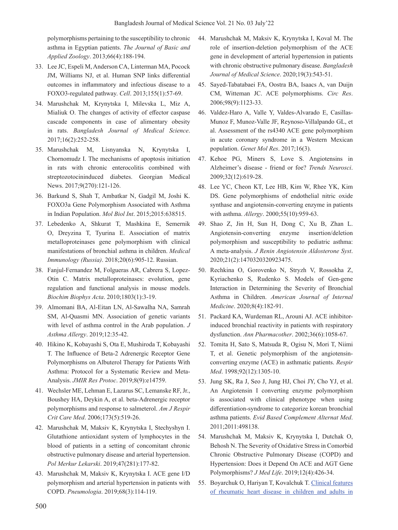polymorphisms pertaining to the susceptibility to chronic asthma in Egyptian patients. *The Journal of Basic and Applied Zoology*. 2013;66(4):188-194.

- 33. Lee JC, Espeli M, Anderson CA, Linterman MA, Pocock JM, Williams NJ, et al. Human SNP links differential outcomes in inflammatory and infectious disease to a FOXO3-regulated pathway. *Cell*. 2013;155(1):57-69.
- 34. Marushchak M, Krynytska I, Milevska L, Miz A, Mialiuk O. The changes of activity of effector caspase cascade components in case of alimentary obesity in rats. *Bangladesh Journal of Medical Science*. 2017;16(2):252-258.
- 35. Marushchak M, Lisnyanska N, Krynytska I, Chornomudz I. The mechanisms of apoptosis initiation in rats with chronic enterocolitis combined with streptozotocininduced diabetes. Georgian Medical News. 2017;9(270):121-126.
- 36. Barkund S, Shah T, Ambatkar N, Gadgil M, Joshi K. FOXO3a Gene Polymorphism Associated with Asthma in Indian Population. *Mol Biol Int*. 2015;2015:638515.
- 37. Lebedenko A, Shkurat T, Mashkina E, Semernik O, Dreyzina T, Tyurina E. Association of matrix metalloproteinases gene polymorphism with clinical manifestations of bronchial asthma in children. *Medical Immunology (Russia)*. 2018;20(6):905-12. Russian.
- 38. Fanjul-Fernandez M, Folgueras AR, Cabrera S, Lopez-Otin C. Matrix metalloproteinases: evolution, gene regulation and functional analysis in mouse models. *Biochim Biophys Acta*. 2010;1803(1):3-19.
- 39. Almomani BA, Al-Eitan LN, Al-Sawalha NA, Samrah SM, Al-Quasmi MN. Association of genetic variants with level of asthma control in the Arab population. *J Asthma Allergy*. 2019;12:35-42.
- 40. Hikino K, Kobayashi S, Ota E, Mushiroda T, Kobayashi T. The Influence of Beta-2 Adrenergic Receptor Gene Polymorphisms on Albuterol Therapy for Patients With Asthma: Protocol for a Systematic Review and Meta-Analysis. *JMIR Res Protoc*. 2019;8(9):e14759.
- 41. Wechsler ME, Lehman E, Lazarus SC, Lemanske RF, Jr., Boushey HA, Deykin A, et al. beta-Adrenergic receptor polymorphisms and response to salmeterol. *Am J Respir Crit Care Med*. 2006;173(5):519-26.
- 42. Marushchak M, Maksiv K, Krynytska I, Stechyshyn I. Glutathione antioxidant system of lymphocytes in the blood of patients in a setting of concomitant chronic obstructive pulmonary disease and arterial hypertension. *Pol Merkur Lekarski*. 2019;47(281):177-82.
- 43. Marushchak M, Maksiv K, Krynytska I. ACE gene I/D polymorphism and arterial hypertension in patients with COPD. *Pneumologia*. 2019;68(3):114-119.
- 44. Marushchak M, Maksiv K, Krynytska I, Koval M. The role of insertion-deletion polymorphism of the ACE gene in development of arterial hypertension in patients with chronic obstructive pulmonary disease. *Bangladesh Journal of Medical Science*. 2020;19(3):543-51.
- 45. Sayed-Tabatabaei FA, Oostra BA, Isaacs A, van Duijn CM, Witteman JC. ACE polymorphisms. *Circ Res*. 2006;98(9):1123-33.
- 46. Valdez-Haro A, Valle Y, Valdes-Alvarado E, Casillas-Munoz F, Munoz-Valle JF, Reynoso-Villalpando GL, et al. Assessment of the rs4340 ACE gene polymorphism in acute coronary syndrome in a Western Mexican population. *Genet Mol Res*. 2017;16(3).
- 47. Kehoe PG, Miners S, Love S. Angiotensins in Alzheimer's disease - friend or foe? *Trends Neurosci*. 2009;32(12):619-28.
- 48. Lee YC, Cheon KT, Lee HB, Kim W, Rhee YK, Kim DS. Gene polymorphisms of endothelial nitric oxide synthase and angiotensin-converting enzyme in patients with asthma. *Allergy*. 2000;55(10):959-63.
- 49. Shao Z, Jin H, Sun H, Dong C, Xu B, Zhan L. Angiotensin-converting enzyme insertion/deletion polymorphism and susceptibility to pediatric asthma: A meta-analysis. *J Renin Angiotensin Aldosterone Syst*. 2020;21(2):1470320320923475.
- 50. Rechkina О, Gorovenko N, Stryzh V, Rossokha Z, Kyriachenko S, Rudenko S. Models of Gen-gene Interaction in Determining the Severity of Bronchial Asthma in Children. *American Journal of Internal Medicine*. 2020;8(4):182-91.
- 51. Packard KA, Wurdeman RL, Arouni AJ. ACE inhibitorinduced bronchial reactivity in patients with respiratory dysfunction. *Ann Pharmacother*. 2002;36(6):1058-67.
- 52. Tomita H, Sato S, Matsuda R, Ogisu N, Mori T, Niimi T, et al. Genetic polymorphism of the angiotensinconverting enzyme (ACE) in asthmatic patients. *Respir Med*. 1998;92(12):1305-10.
- 53. Jung SK, Ra J, Seo J, Jung HJ, Choi JY, Cho YJ, et al. An Angiotensin I converting enzyme polymorphism is associated with clinical phenotype when using differentiation-syndrome to categorize korean bronchial asthma patients. *Evid Based Complement Alternat Med*. 2011;2011:498138.
- 54. Marushchak M, Maksiv K, Krynytska I, Dutchak O, Behosh N. The Severity of Oxidative Stress in Comorbid Chronic Obstructive Pulmonary Disease (COPD) and Hypertension: Does it Depend On ACE and AGT Gene Polymorphisms? *J Med Life*. 2019;12(4):426-34.
- 55. Boyarchuk O, Hariyan T, Kovalchuk T. Clinical features of rheumatic heart disease in children and adults in